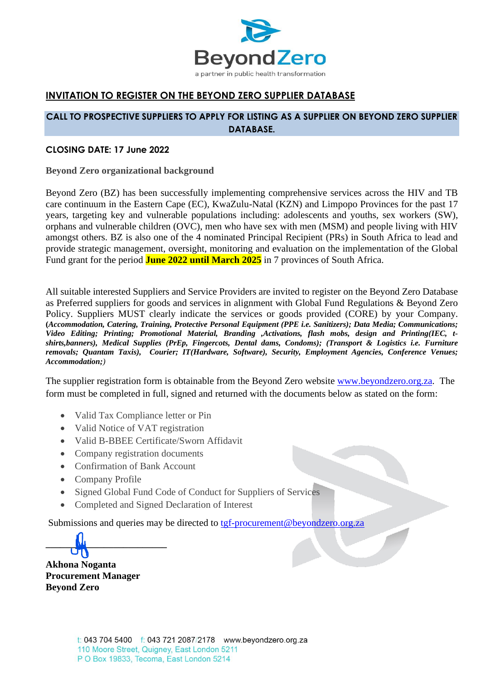

## **INVITATION TO REGISTER ON THE BEYOND ZERO SUPPLIER DATABASE**

## **CALL TO PROSPECTIVE SUPPLIERS TO APPLY FOR LISTING AS A SUPPLIER ON BEYOND ZERO SUPPLIER DATABASE.**

## **CLOSING DATE: 17 June 2022**

**Beyond Zero organizational background**

Beyond Zero (BZ) has been successfully implementing comprehensive services across the HIV and TB care continuum in the Eastern Cape (EC), KwaZulu-Natal (KZN) and Limpopo Provinces for the past 17 years, targeting key and vulnerable populations including: adolescents and youths, sex workers (SW), orphans and vulnerable children (OVC), men who have sex with men (MSM) and people living with HIV amongst others. BZ is also one of the 4 nominated Principal Recipient (PRs) in South Africa to lead and provide strategic management, oversight, monitoring and evaluation on the implementation of the Global Fund grant for the period **June 2022 until March 2025** in 7 provinces of South Africa.

All suitable interested Suppliers and Service Providers are invited to register on the Beyond Zero Database as Preferred suppliers for goods and services in alignment with Global Fund Regulations & Beyond Zero Policy. Suppliers MUST clearly indicate the services or goods provided (CORE) by your Company. **(***Accommodation, Catering, Training, Protective Personal Equipment (PPE i.e. Sanitizers); Data Media; Communications; Video Editing; Printing; Promotional Material, Branding ,Activations, flash mobs, design and Printing(IEC, tshirts,banners), Medical Supplies (PrEp, Fingercots, Dental dams, Condoms); (Transport & Logistics i.e. Furniture removals; Quantam Taxis), Courier; IT(Hardware, Software), Security, Employment Agencies, Conference Venues; Accommodation;)*

The supplier registration form is obtainable from the Beyond Zero website [www.beyondzero.org.za.](http://www.beyondzero.org.za/) The form must be completed in full, signed and returned with the documents below as stated on the form:

- Valid Tax Compliance letter or Pin
- Valid Notice of VAT registration
- Valid B-BBEE Certificate/Sworn Affidavit
- Company registration documents
- Confirmation of Bank Account
- Company Profile
- Signed Global Fund Code of Conduct for Suppliers of Services
- Completed and Signed Declaration of Interest

Submissions and queries may be directed to [tgf-procurement@beyondzero.org.za](mailto:tgf-procurement@beyondzero.org.za)

**\_\_\_\_\_\_\_\_\_\_\_\_\_\_\_\_\_\_\_\_\_\_\_\_\_**

**Akhona Noganta Procurement Manager Beyond Zero**